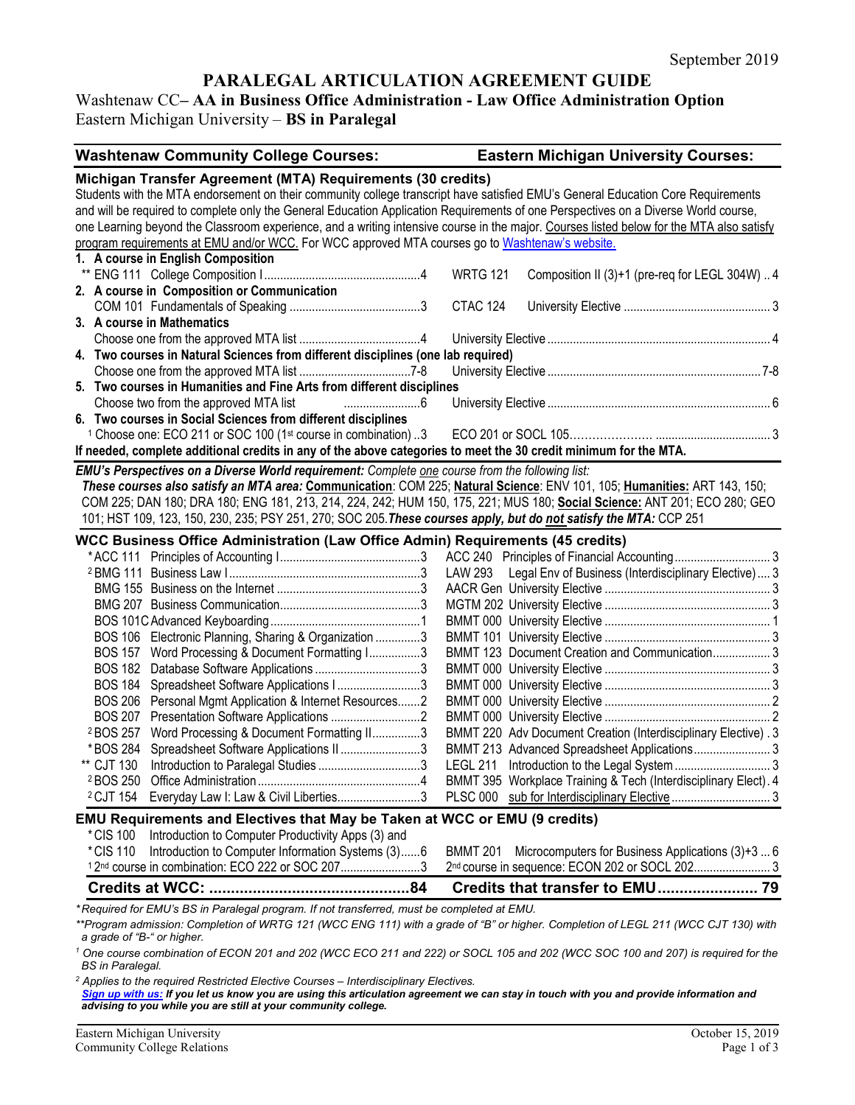# **PARALEGAL ARTICULATION AGREEMENT GUIDE**

# Washtenaw CC**– AA in Business Office Administration - Law Office Administration Option** Eastern Michigan University – **BS in Paralegal**

| <b>Washtenaw Community College Courses:</b>                                                                                                                                                                                                | <b>Eastern Michigan University Courses:</b>                          |
|--------------------------------------------------------------------------------------------------------------------------------------------------------------------------------------------------------------------------------------------|----------------------------------------------------------------------|
| Michigan Transfer Agreement (MTA) Requirements (30 credits)                                                                                                                                                                                |                                                                      |
| Students with the MTA endorsement on their community college transcript have satisfied EMU's General Education Core Requirements                                                                                                           |                                                                      |
| and will be required to complete only the General Education Application Requirements of one Perspectives on a Diverse World course,                                                                                                        |                                                                      |
| one Learning beyond the Classroom experience, and a writing intensive course in the major. Courses listed below for the MTA also satisfy                                                                                                   |                                                                      |
| program requirements at EMU and/or WCC. For WCC approved MTA courses go to Washtenaw's website.                                                                                                                                            |                                                                      |
| 1. A course in English Composition                                                                                                                                                                                                         |                                                                      |
|                                                                                                                                                                                                                                            | <b>WRTG 121</b><br>Composition II (3)+1 (pre-req for LEGL 304W)  4   |
| 2. A course in Composition or Communication                                                                                                                                                                                                |                                                                      |
|                                                                                                                                                                                                                                            | <b>CTAC 124</b>                                                      |
| 3. A course in Mathematics                                                                                                                                                                                                                 |                                                                      |
|                                                                                                                                                                                                                                            |                                                                      |
| 4. Two courses in Natural Sciences from different disciplines (one lab required)                                                                                                                                                           |                                                                      |
| 5. Two courses in Humanities and Fine Arts from different disciplines                                                                                                                                                                      |                                                                      |
| Choose two from the approved MTA list                                                                                                                                                                                                      |                                                                      |
| 6. Two courses in Social Sciences from different disciplines                                                                                                                                                                               |                                                                      |
| <sup>1</sup> Choose one: ECO 211 or SOC 100 (1 <sup>st</sup> course in combination) 3                                                                                                                                                      |                                                                      |
| If needed, complete additional credits in any of the above categories to meet the 30 credit minimum for the MTA.                                                                                                                           |                                                                      |
|                                                                                                                                                                                                                                            |                                                                      |
| EMU's Perspectives on a Diverse World requirement: Complete one course from the following list:                                                                                                                                            |                                                                      |
| These courses also satisfy an MTA area: Communication: COM 225; Natural Science: ENV 101, 105; Humanities: ART 143, 150;                                                                                                                   |                                                                      |
| COM 225; DAN 180; DRA 180; ENG 181, 213, 214, 224, 242; HUM 150, 175, 221; MUS 180; Social Science: ANT 201; ECO 280; GEO                                                                                                                  |                                                                      |
| 101; HST 109, 123, 150, 230, 235; PSY 251, 270; SOC 205. These courses apply, but do not satisfy the MTA: CCP 251                                                                                                                          |                                                                      |
| <b>WCC Business Office Administration (Law Office Admin) Requirements (45 credits)</b>                                                                                                                                                     |                                                                      |
|                                                                                                                                                                                                                                            |                                                                      |
|                                                                                                                                                                                                                                            | LAW 293 Legal Env of Business (Interdisciplinary Elective)  3        |
|                                                                                                                                                                                                                                            |                                                                      |
|                                                                                                                                                                                                                                            |                                                                      |
|                                                                                                                                                                                                                                            |                                                                      |
| BOS 106 Electronic Planning, Sharing & Organization 3                                                                                                                                                                                      |                                                                      |
| BOS 157 Word Processing & Document Formatting I3                                                                                                                                                                                           | BMMT 123 Document Creation and Communication 3                       |
|                                                                                                                                                                                                                                            |                                                                      |
| <b>BOS 184</b><br>Spreadsheet Software Applications I3                                                                                                                                                                                     |                                                                      |
| BOS 206 Personal Mgmt Application & Internet Resources2                                                                                                                                                                                    |                                                                      |
| <b>BOS 207</b>                                                                                                                                                                                                                             |                                                                      |
| Word Processing & Document Formatting II3<br><sup>2</sup> BOS 257                                                                                                                                                                          | BMMT 220 Adv Document Creation (Interdisciplinary Elective). 3       |
| Spreadsheet Software Applications II3<br>* BOS 284                                                                                                                                                                                         | BMMT 213 Advanced Spreadsheet Applications 3                         |
| ** CJT 130                                                                                                                                                                                                                                 |                                                                      |
|                                                                                                                                                                                                                                            | BMMT 395 Workplace Training & Tech (Interdisciplinary Elect). 4      |
| <sup>2</sup> CJT 154 Everyday Law I: Law & Civil Liberties3                                                                                                                                                                                |                                                                      |
| <b>EMU Requirements and Electives that May be Taken at WCC or EMU (9 credits)</b>                                                                                                                                                          |                                                                      |
| Introduction to Computer Productivity Apps (3) and<br>*CIS 100                                                                                                                                                                             |                                                                      |
| Introduction to Computer Information Systems (3)6<br>*CIS 110                                                                                                                                                                              | Microcomputers for Business Applications (3)+3  6<br><b>BMMT 201</b> |
| <sup>1</sup> 2 <sup>nd</sup> course in combination: ECO 222 or SOC 2073                                                                                                                                                                    | 2nd course in sequence: ECON 202 or SOCL 202 3                       |
|                                                                                                                                                                                                                                            |                                                                      |
| *Required for EMU's BS in Paralegal program. If not transferred, must be completed at EMU.                                                                                                                                                 |                                                                      |
| **Program admission: Completion of WRTG 121 (WCC ENG 111) with a grade of "B" or higher. Completion of LEGL 211 (WCC CJT 130) with                                                                                                         |                                                                      |
| a grade of "B-" or higher.                                                                                                                                                                                                                 |                                                                      |
| <sup>1</sup> One course combination of ECON 201 and 202 (WCC ECO 211 and 222) or SOCL 105 and 202 (WCC SOC 100 and 207) is required for the<br><b>BS</b> in Paralegal.                                                                     |                                                                      |
| <sup>2</sup> Applies to the required Restricted Elective Courses - Interdisciplinary Electives.<br>Sign up with us: If you let us know you are using this articulation agreement we can stay in touch with you and provide information and |                                                                      |

*[Sign up with us:](https://www.emich.edu/ccr/articulation-agreements/signup.php) If you let us know you are using this articulation agreement we can stay in touch with you and provide information and advising to you while you are still at your community college.*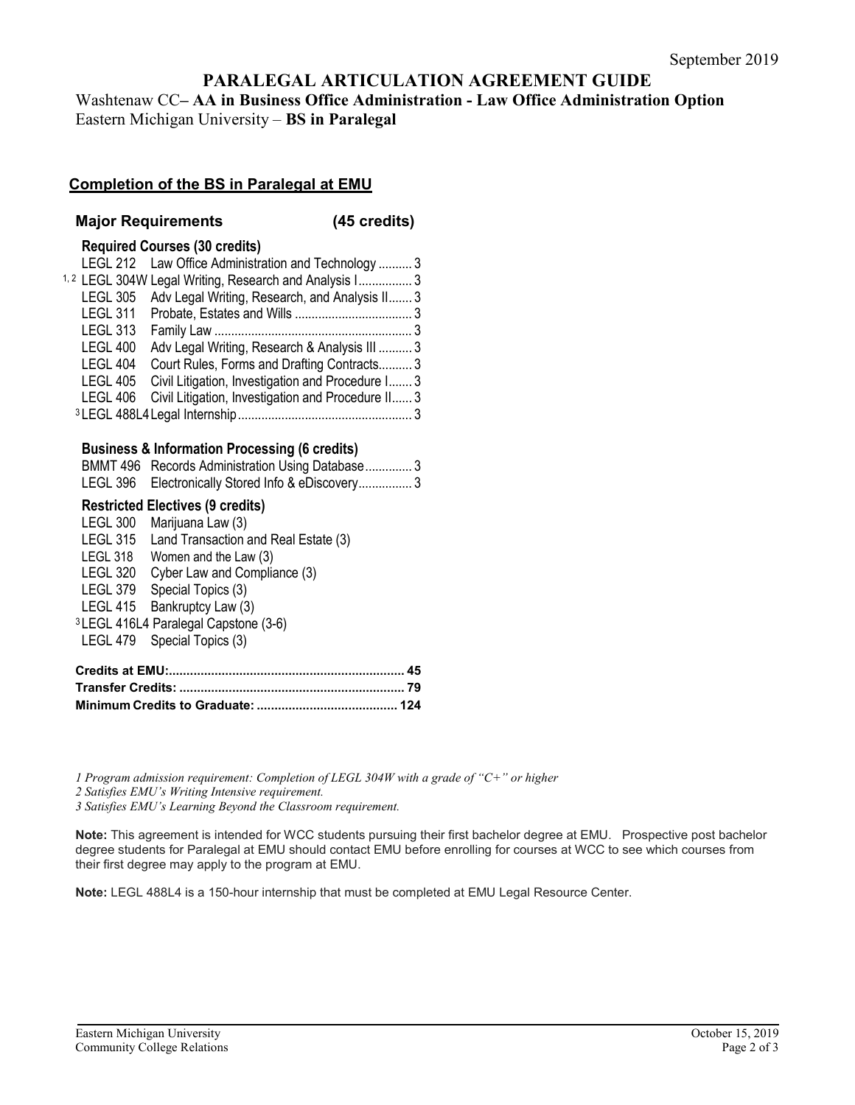# **PARALEGAL ARTICULATION AGREEMENT GUIDE**

Washtenaw CC**– AA in Business Office Administration - Law Office Administration Option** Eastern Michigan University – **BS in Paralegal**

### **Completion of the BS in Paralegal at EMU**

#### **Major Requirements (45 credits)**

#### **Required Courses (30 credits)**

|                 | LEGL 212 Law Office Administration and Technology  3              |  |
|-----------------|-------------------------------------------------------------------|--|
|                 | <sup>1,2</sup> LEGL 304W Legal Writing, Research and Analysis I 3 |  |
|                 | LEGL 305 Adv Legal Writing, Research, and Analysis II 3           |  |
|                 |                                                                   |  |
| <b>LEGL 313</b> |                                                                   |  |
| <b>LEGL 400</b> | Adv Legal Writing, Research & Analysis III  3                     |  |
| <b>LEGL 404</b> | Court Rules, Forms and Drafting Contracts 3                       |  |
| LEGL 405        | Civil Litigation, Investigation and Procedure I 3                 |  |
| <b>LEGL 406</b> | Civil Litigation, Investigation and Procedure II 3                |  |
|                 |                                                                   |  |

#### **Business & Information Processing (6 credits)**

| BMMT 496 Records Administration Using Database3   |
|---------------------------------------------------|
| LEGL 396 Electronically Stored Info & eDiscovery3 |

#### **Restricted Electives (9 credits)**

| <b>LEGL 300</b> | Marijuana Law (3)                                |
|-----------------|--------------------------------------------------|
| <b>LEGL 315</b> | Land Transaction and Real Estate (3)             |
| LEGL 318        | Women and the Law (3)                            |
| <b>LEGL 320</b> | Cyber Law and Compliance (3)                     |
| LEGL 379        | Special Topics (3)                               |
| LEGL 415        | Bankruptcy Law (3)                               |
|                 | <sup>3</sup> LEGL 416L4 Paralegal Capstone (3-6) |
|                 | LEGL 479 Special Topics (3)                      |
|                 |                                                  |

*1 Program admission requirement: Completion of LEGL 304W with a grade of "C+" or higher*

*2 Satisfies EMU's Writing Intensive requirement.*

*3 Satisfies EMU's Learning Beyond the Classroom requirement.* 

**Note:** This agreement is intended for WCC students pursuing their first bachelor degree at EMU. Prospective post bachelor degree students for Paralegal at EMU should contact EMU before enrolling for courses at WCC to see which courses from their first degree may apply to the program at EMU.

**Note:** LEGL 488L4 is a 150-hour internship that must be completed at EMU Legal Resource Center.